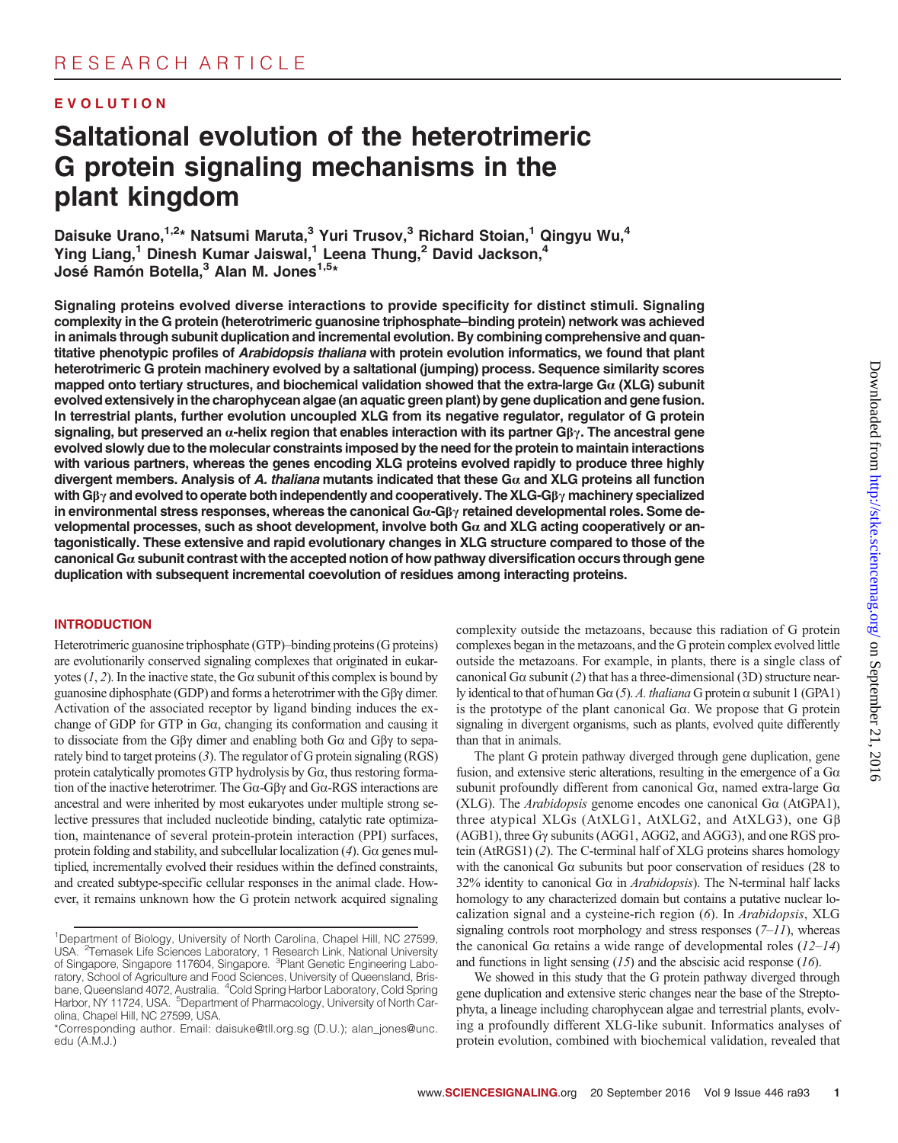### EVOLUTION

# Saltational evolution of the heterotrimeric G protein signaling mechanisms in the plant kingdom

Daisuke Urano, 1,2\* Natsumi Maruta, <sup>3</sup> Yuri Trusov, <sup>3</sup> Richard Stoian, <sup>1</sup> Qingyu Wu, <sup>4</sup> Ying Liang,<sup>1</sup> Dinesh Kumar Jaiswal,<sup>1</sup> Leena Thung,<sup>2</sup> David Jackson,<sup>4</sup> José Ramón Botella,<sup>3</sup> Alan M. Jones<sup>1,5\*</sup>

Signaling proteins evolved diverse interactions to provide specificity for distinct stimuli. Signaling complexity in the G protein (heterotrimeric guanosine triphosphate*–*binding protein) network was achieved in animals through subunit duplication and incremental evolution. By combining comprehensive and quantitative phenotypic profiles of Arabidopsis thaliana with protein evolution informatics, we found that plant heterotrimeric G protein machinery evolved by a saltational (jumping) process. Sequence similarity scores mapped onto tertiary structures, and biochemical validation showed that the extra-large G $\alpha$  (XLG) subunit evolved extensively in the charophycean algae (an aquatic green plant) by gene duplication and gene fusion. In terrestrial plants, further evolution uncoupled XLG from its negative regulator, regulator of G protein signaling, but preserved an  $\alpha$ -helix region that enables interaction with its partner G $\beta\gamma$ . The ancestral gene evolved slowly due to the molecular constraints imposed by the need for the protein to maintain interactions with various partners, whereas the genes encoding XLG proteins evolved rapidly to produce three highly divergent members. Analysis of A. thaliana mutants indicated that these  $Ga$  and XLG proteins all function with G $\beta\gamma$  and evolved to operate both independently and cooperatively. The XLG-G $\beta\gamma$  machinery specialized in environmental stress responses, whereas the canonical  $Ga-G\beta\gamma$  retained developmental roles. Some developmental processes, such as shoot development, involve both  $Ga$  and XLG acting cooperatively or antagonistically. These extensive and rapid evolutionary changes in XLG structure compared to those of the canonical G $\alpha$  subunit contrast with the accepted notion of how pathway diversification occurs through gene duplication with subsequent incremental coevolution of residues among interacting proteins.

#### **INTRODUCTION**

Heterotrimeric guanosine triphosphate (GTP)–binding proteins (G proteins) are evolutionarily conserved signaling complexes that originated in eukaryotes  $(1, 2)$ . In the inactive state, the G $\alpha$  subunit of this complex is bound by guanosine diphosphate (GDP) and forms a heterotrimer with the  $G\beta\gamma$  dimer. Activation of the associated receptor by ligand binding induces the exchange of GDP for GTP in Ga, changing its conformation and causing it to dissociate from the G $\beta\gamma$  dimer and enabling both G $\alpha$  and G $\beta\gamma$  to separately bind to target proteins (3). The regulator of G protein signaling (RGS) protein catalytically promotes GTP hydrolysis by Ga, thus restoring formation of the inactive heterotrimer. The  $Ga-G\beta\gamma$  and  $Ga-RGS$  interactions are ancestral and were inherited by most eukaryotes under multiple strong selective pressures that included nucleotide binding, catalytic rate optimization, maintenance of several protein-protein interaction (PPI) surfaces, protein folding and stability, and subcellular localization  $(4)$ . G $\alpha$  genes multiplied, incrementally evolved their residues within the defined constraints, and created subtype-specific cellular responses in the animal clade. However, it remains unknown how the G protein network acquired signaling

complexity outside the metazoans, because this radiation of G protein complexes began in the metazoans, and the G protein complex evolved little outside the metazoans. For example, in plants, there is a single class of canonical G $\alpha$  subunit (2) that has a three-dimensional (3D) structure nearly identical to that of human G $\alpha$  (5). A. thaliana G protein  $\alpha$  subunit 1 (GPA1) is the prototype of the plant canonical Ga. We propose that G protein signaling in divergent organisms, such as plants, evolved quite differently than that in animals.

The plant G protein pathway diverged through gene duplication, gene fusion, and extensive steric alterations, resulting in the emergence of a  $Ga$ subunit profoundly different from canonical  $Ga$ , named extra-large  $Ga$ (XLG). The *Arabidopsis* genome encodes one canonical G $\alpha$  (AtGPA1), three atypical XLGs (AtXLG1, AtXLG2, and AtXLG3), one Gb (AGB1), three Gy subunits (AGG1, AGG2, and AGG3), and one RGS protein (AtRGS1) (2). The C-terminal half of XLG proteins shares homology with the canonical G $\alpha$  subunits but poor conservation of residues (28 to 32% identity to canonical G $\alpha$  in *Arabidopsis*). The N-terminal half lacks homology to any characterized domain but contains a putative nuclear localization signal and a cysteine-rich region (6). In Arabidopsis, XLG signaling controls root morphology and stress responses  $(7-11)$ , whereas the canonical G $\alpha$  retains a wide range of developmental roles (12–14) and functions in light sensing  $(15)$  and the abscisic acid response  $(16)$ .

We showed in this study that the G protein pathway diverged through gene duplication and extensive steric changes near the base of the Streptophyta, a lineage including charophycean algae and terrestrial plants, evolving a profoundly different XLG-like subunit. Informatics analyses of protein evolution, combined with biochemical validation, revealed that

<sup>&</sup>lt;sup>1</sup>Department of Biology, University of North Carolina, Chapel Hill, NC 27599, USA. <sup>2</sup> <sup>2</sup>Temasek Life Sciences Laboratory, 1 Research Link, National University of Singapore, Singapore 117604, Singapore. <sup>3</sup>Plant Genetic Engineering Laboratory, School of Agriculture and Food Sciences, University of Queensland, Brisbane, Queensland 4072, Australia. <sup>4</sup>Cold Spring Harbor Laboratory, Cold Spring Harbor, NY 11724, USA. <sup>5</sup>Department of Pharmacology, University of North Carolina, Chapel Hill, NC 27599, USA.

<sup>\*</sup>Corresponding author. Email: daisuke@tll.org.sg (D.U.); alan\_jones@unc. edu (A.M.J.)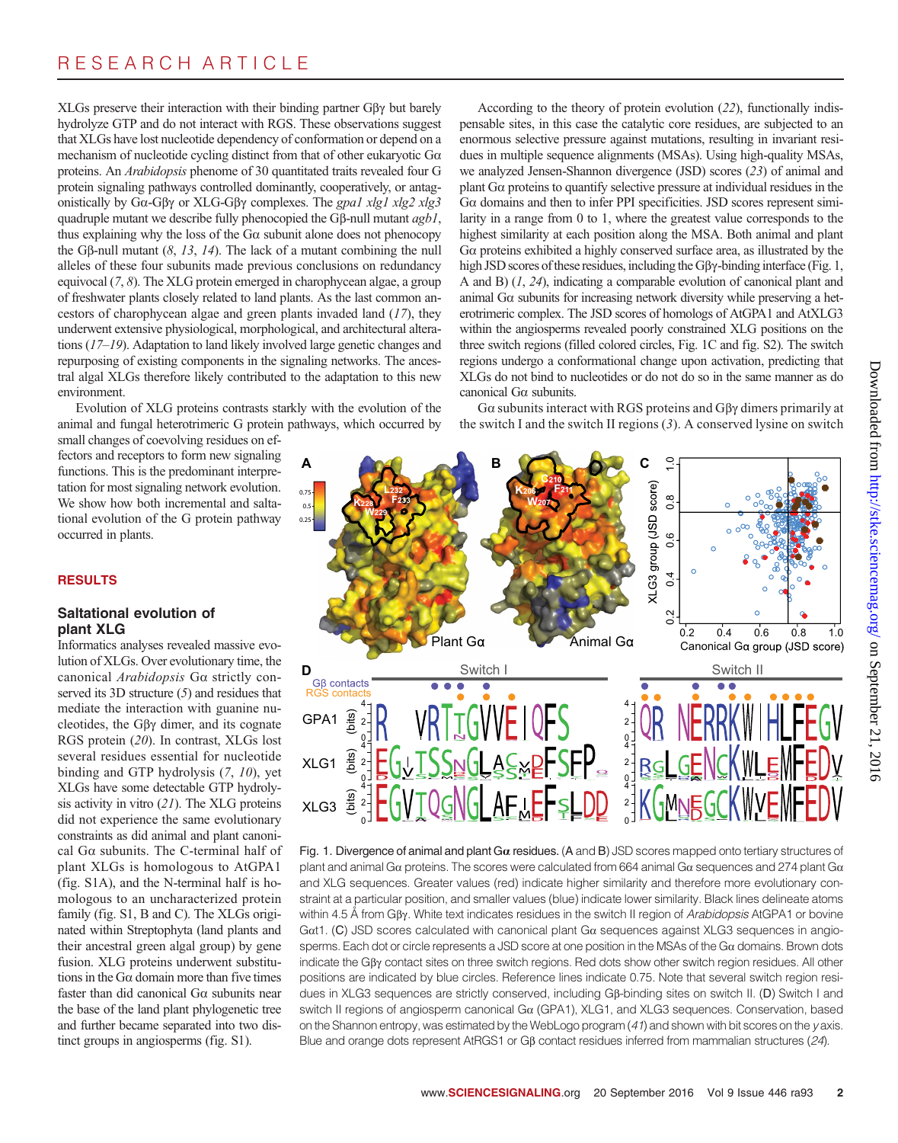XLGs preserve their interaction with their binding partner G $\beta\gamma$  but barely hydrolyze GTP and do not interact with RGS. These observations suggest that XLGs have lost nucleotide dependency of conformation or depend on a mechanism of nucleotide cycling distinct from that of other eukaryotic Ga proteins. An Arabidopsis phenome of 30 quantitated traits revealed four G protein signaling pathways controlled dominantly, cooperatively, or antagonistically by Go-G $\beta\gamma$  or XLG-G $\beta\gamma$  complexes. The gpa1 xlg1 xlg2 xlg3 quadruple mutant we describe fully phenocopied the G $\beta$ -null mutant  $agb1$ , thus explaining why the loss of the  $G\alpha$  subunit alone does not phenocopy the G $\beta$ -null mutant (8, 13, 14). The lack of a mutant combining the null alleles of these four subunits made previous conclusions on redundancy equivocal (7, 8). The XLG protein emerged in charophycean algae, a group of freshwater plants closely related to land plants. As the last common ancestors of charophycean algae and green plants invaded land (17), they underwent extensive physiological, morphological, and architectural alterations (17–19). Adaptation to land likely involved large genetic changes and repurposing of existing components in the signaling networks. The ancestral algal XLGs therefore likely contributed to the adaptation to this new environment.

Evolution of XLG proteins contrasts starkly with the evolution of the animal and fungal heterotrimeric G protein pathways, which occurred by

small changes of coevolving residues on effectors and receptors to form new signaling functions. This is the predominant interpretation for most signaling network evolution. We show how both incremental and saltational evolution of the G protein pathway occurred in plants.

#### RESULTS

#### Saltational evolution of plant XLG

Informatics analyses revealed massive evolution of XLGs. Over evolutionary time, the canonical Arabidopsis <sup>G</sup>a strictly conserved its 3D structure (5) and residues that mediate the interaction with guanine nucleotides, the G $\beta\gamma$  dimer, and its cognate RGS protein (20). In contrast, XLGs lost several residues essential for nucleotide binding and GTP hydrolysis (7, 10), yet XLGs have some detectable GTP hydrolysis activity in vitro (21). The XLG proteins did not experience the same evolutionary constraints as did animal and plant canonical Ga subunits. The C-terminal half of plant XLGs is homologous to AtGPA1 (fig. S1A), and the N-terminal half is homologous to an uncharacterized protein family (fig. S1, B and C). The XLGs originated within Streptophyta (land plants and their ancestral green algal group) by gene fusion. XLG proteins underwent substitutions in the G $\alpha$  domain more than five times faster than did canonical Ga subunits near the base of the land plant phylogenetic tree and further became separated into two distinct groups in angiosperms (fig. S1).

According to the theory of protein evolution (22), functionally indispensable sites, in this case the catalytic core residues, are subjected to an enormous selective pressure against mutations, resulting in invariant residues in multiple sequence alignments (MSAs). Using high-quality MSAs, we analyzed Jensen-Shannon divergence (JSD) scores (23) of animal and plant Ga proteins to quantify selective pressure at individual residues in the <sup>G</sup>a domains and then to infer PPI specificities. JSD scores represent similarity in a range from 0 to 1, where the greatest value corresponds to the highest similarity at each position along the MSA. Both animal and plant <sup>G</sup>a proteins exhibited a highly conserved surface area, as illustrated by the high JSD scores of these residues, including the  $G\beta\gamma$ -binding interface (Fig. 1, A and B) (1, 24), indicating a comparable evolution of canonical plant and animal  $G\alpha$  subunits for increasing network diversity while preserving a heterotrimeric complex. The JSD scores of homologs of AtGPA1 and AtXLG3 within the angiosperms revealed poorly constrained XLG positions on the three switch regions (filled colored circles, Fig. 1C and fig. S2). The switch regions undergo a conformational change upon activation, predicting that XLGs do not bind to nucleotides or do not do so in the same manner as do canonical Ga subunits.

 $G\alpha$  subunits interact with RGS proteins and  $G\beta\gamma$  dimers primarily at the switch I and the switch II regions  $(3)$ . A conserved lysine on switch



Fig. 1. Divergence of animal and plant  $Ga$  residues. (A and B) JSD scores mapped onto tertiary structures of plant and animal G $\alpha$  proteins. The scores were calculated from 664 animal G $\alpha$  sequences and 274 plant G $\alpha$ and XLG sequences. Greater values (red) indicate higher similarity and therefore more evolutionary constraint at a particular position, and smaller values (blue) indicate lower similarity. Black lines delineate atoms within 4.5 Å from GBy. White text indicates residues in the switch II region of Arabidopsis AtGPA1 or bovine Gat1. (C) JSD scores calculated with canonical plant G $\alpha$  sequences against XLG3 sequences in angiosperms. Each dot or circle represents a JSD score at one position in the MSAs of the Ga domains. Brown dots indicate the  $G\beta\gamma$  contact sites on three switch regions. Red dots show other switch region residues. All other positions are indicated by blue circles. Reference lines indicate 0.75. Note that several switch region residues in XLG3 sequences are strictly conserved, including Gb-binding sites on switch II. (D) Switch I and switch II regions of angiosperm canonical Ga (GPA1), XLG1, and XLG3 sequences. Conservation, based on the Shannon entropy, was estimated by the WebLogo program (41) and shown with bit scores on the y axis. Blue and orange dots represent AtRGS1 or G<sub>B</sub> contact residues inferred from mammalian structures (24).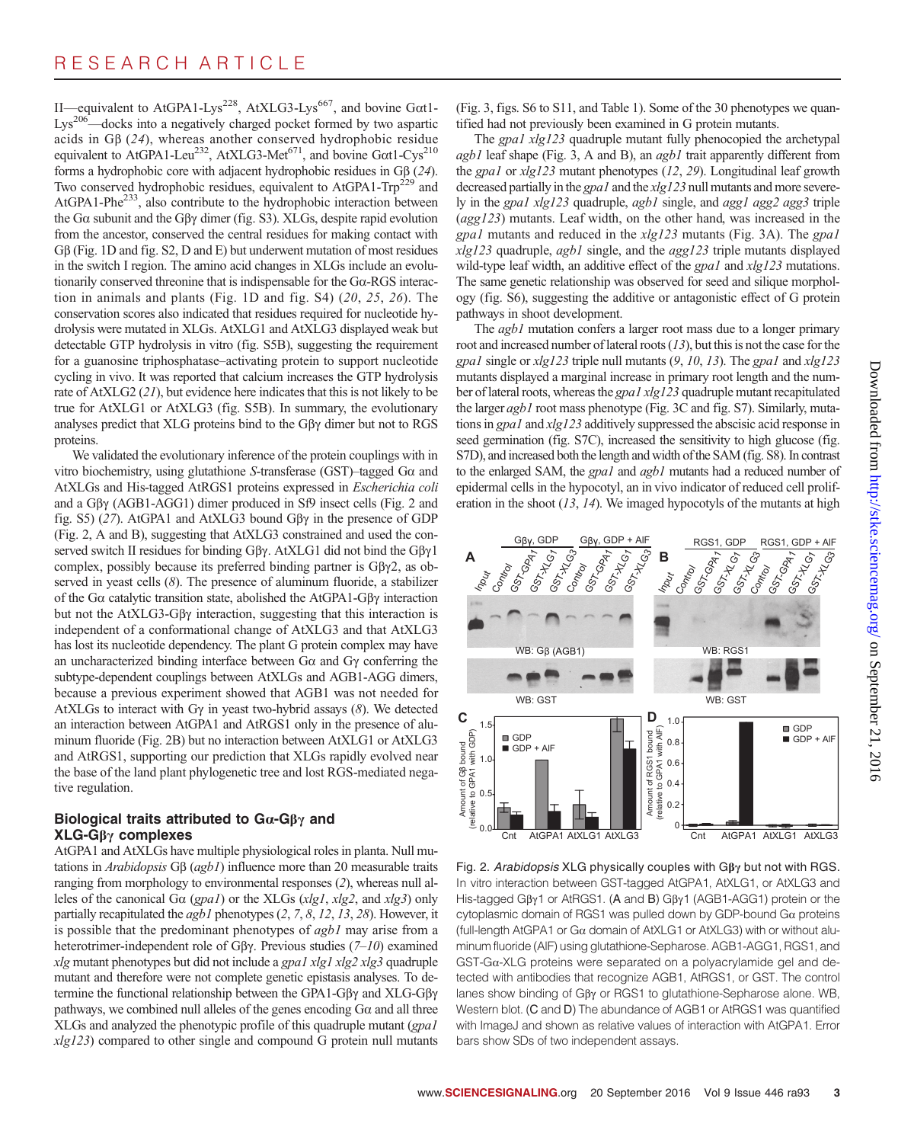II—equivalent to AtGPA1-Lys<sup>228</sup>, AtXLG3-Lys<sup>667</sup>, and bovine Gat1-Lys<sup>206</sup>—docks into a negatively charged pocket formed by two aspartic acids in G $\beta$  (24), whereas another conserved hydrophobic residue equivalent to AtGPA1-Leu<sup>232</sup>, AtXLG3-Met<sup>671</sup>, and bovine G $\alpha$ t1-Cys<sup>210</sup> forms a hydrophobic core with adjacent hydrophobic residues in G $\beta$  (24). Two conserved hydrophobic residues, equivalent to AtGPA1-Trp<sup>229</sup> and AtGPA1-Phe233, also contribute to the hydrophobic interaction between the G $\alpha$  subunit and the G $\beta\gamma$  dimer (fig. S3). XLGs, despite rapid evolution from the ancestor, conserved the central residues for making contact with <sup>G</sup>b (Fig. 1D and fig. S2, D and E) but underwent mutation of most residues in the switch I region. The amino acid changes in XLGs include an evolutionarily conserved threonine that is indispensable for the Ga-RGS interaction in animals and plants (Fig. 1D and fig. S4) (20, 25, 26). The conservation scores also indicated that residues required for nucleotide hydrolysis were mutated in XLGs. AtXLG1 and AtXLG3 displayed weak but detectable GTP hydrolysis in vitro (fig. S5B), suggesting the requirement for a guanosine triphosphatase–activating protein to support nucleotide cycling in vivo. It was reported that calcium increases the GTP hydrolysis rate of AtXLG2 (21), but evidence here indicates that this is not likely to be true for AtXLG1 or AtXLG3 (fig. S5B). In summary, the evolutionary analyses predict that XLG proteins bind to the G $\beta\gamma$  dimer but not to RGS proteins.

We validated the evolutionary inference of the protein couplings with in vitro biochemistry, using glutathione S-transferase (GST)–tagged  $Ga$  and AtXLGs and His-tagged AtRGS1 proteins expressed in Escherichia coli and a  $G\beta\gamma$  (AGB1-AGG1) dimer produced in Sf9 insect cells (Fig. 2 and fig. S5) (27). AtGPA1 and AtXLG3 bound G $\beta\gamma$  in the presence of GDP (Fig. 2, A and B), suggesting that AtXLG3 constrained and used the conserved switch II residues for binding G $\beta\gamma$ . AtXLG1 did not bind the G $\beta\gamma1$ complex, possibly because its preferred binding partner is  $G\beta\gamma2$ , as observed in yeast cells  $(8)$ . The presence of aluminum fluoride, a stabilizer of the G $\alpha$  catalytic transition state, abolished the AtGPA1-GB $\gamma$  interaction but not the  $AtXLG3-G\beta\gamma$  interaction, suggesting that this interaction is independent of a conformational change of AtXLG3 and that AtXLG3 has lost its nucleotide dependency. The plant G protein complex may have an uncharacterized binding interface between  $Ga$  and  $Gy$  conferring the subtype-dependent couplings between AtXLGs and AGB1-AGG dimers, because a previous experiment showed that AGB1 was not needed for AtXLGs to interact with Gy in yeast two-hybrid assays  $(8)$ . We detected an interaction between AtGPA1 and AtRGS1 only in the presence of aluminum fluoride (Fig. 2B) but no interaction between AtXLG1 or AtXLG3 and AtRGS1, supporting our prediction that XLGs rapidly evolved near the base of the land plant phylogenetic tree and lost RGS-mediated negative regulation.

#### Biological traits attributed to  $Ga-G\beta\gamma$  and  $XLG-G\beta\gamma$  complexes

AtGPA1 and AtXLGs have multiple physiological roles in planta. Null mutations in Arabidopsis  $G\beta$  (agb1) influence more than 20 measurable traits ranging from morphology to environmental responses (2), whereas null alleles of the canonical G $\alpha$  (gpa1) or the XLGs (xlg1, xlg2, and xlg3) only partially recapitulated the  $agb1$  phenotypes  $(2, 7, 8, 12, 13, 28)$ . However, it is possible that the predominant phenotypes of agb1 may arise from a heterotrimer-independent role of G $\beta\gamma$ . Previous studies (7–10) examined xlg mutant phenotypes but did not include a gpa1 xlg1 xlg2 xlg3 quadruple mutant and therefore were not complete genetic epistasis analyses. To determine the functional relationship between the GPA1-G $\beta\gamma$  and XLG-G $\beta\gamma$ pathways, we combined null alleles of the genes encoding  $G\alpha$  and all three XLGs and analyzed the phenotypic profile of this quadruple mutant (gpa1  $xlg123$ ) compared to other single and compound G protein null mutants

(Fig. 3, figs. S6 to S11, and Table 1). Some of the 30 phenotypes we quantified had not previously been examined in G protein mutants.

The *gpa1 xlg123* quadruple mutant fully phenocopied the archetypal  $agb1$  leaf shape (Fig. 3, A and B), an  $agb1$  trait apparently different from the gpa1 or xlg123 mutant phenotypes (12, 29). Longitudinal leaf growth decreased partially in the gpa1 and the xlg123 null mutants and more severely in the gpa1 xlg123 quadruple, agb1 single, and agg1 agg2 agg3 triple (agg123) mutants. Leaf width, on the other hand, was increased in the gpa1 mutants and reduced in the xlg123 mutants (Fig. 3A). The gpa1 xlg123 quadruple, agb1 single, and the agg123 triple mutants displayed wild-type leaf width, an additive effect of the *gpa1* and *xlg123* mutations. The same genetic relationship was observed for seed and silique morphology (fig. S6), suggesting the additive or antagonistic effect of G protein pathways in shoot development.

The *agb1* mutation confers a larger root mass due to a longer primary root and increased number of lateral roots (13), but this is not the case for the gpa1 single or  $xlg123$  triple null mutants  $(9, 10, 13)$ . The gpa1 and  $xlg123$ mutants displayed a marginal increase in primary root length and the number of lateral roots, whereas the gpa1 xlg123 quadruple mutant recapitulated the larger agb1 root mass phenotype (Fig. 3C and fig. S7). Similarly, mutations in gpa1 and xlg123 additively suppressed the abscisic acid response in seed germination (fig. S7C), increased the sensitivity to high glucose (fig. S7D), and increased both the length and width of the SAM (fig. S8). In contrast to the enlarged SAM, the *gpa1* and *agb1* mutants had a reduced number of epidermal cells in the hypocotyl, an in vivo indicator of reduced cell proliferation in the shoot  $(13, 14)$ . We imaged hypocotyls of the mutants at high



Fig. 2. Arabidopsis XLG physically couples with  $G\beta\gamma$  but not with RGS. In vitro interaction between GST-tagged AtGPA1, AtXLG1, or AtXLG3 and His-tagged Gβγ1 or AtRGS1. (A and B) Gβγ1 (AGB1-AGG1) protein or the cytoplasmic domain of RGS1 was pulled down by GDP-bound  $Ga$  proteins (full-length AtGPA1 or  $Ga$  domain of AtXLG1 or AtXLG3) with or without aluminum fluoride (AlF) using glutathione-Sepharose. AGB1-AGG1, RGS1, and GST-Ga-XLG proteins were separated on a polyacrylamide gel and detected with antibodies that recognize AGB1, AtRGS1, or GST. The control lanes show binding of G<sub>B</sub>y or RGS1 to glutathione-Sepharose alone. WB, Western blot. (C and D) The abundance of AGB1 or AtRGS1 was quantified with ImageJ and shown as relative values of interaction with AtGPA1. Error bars show SDs of two independent assays.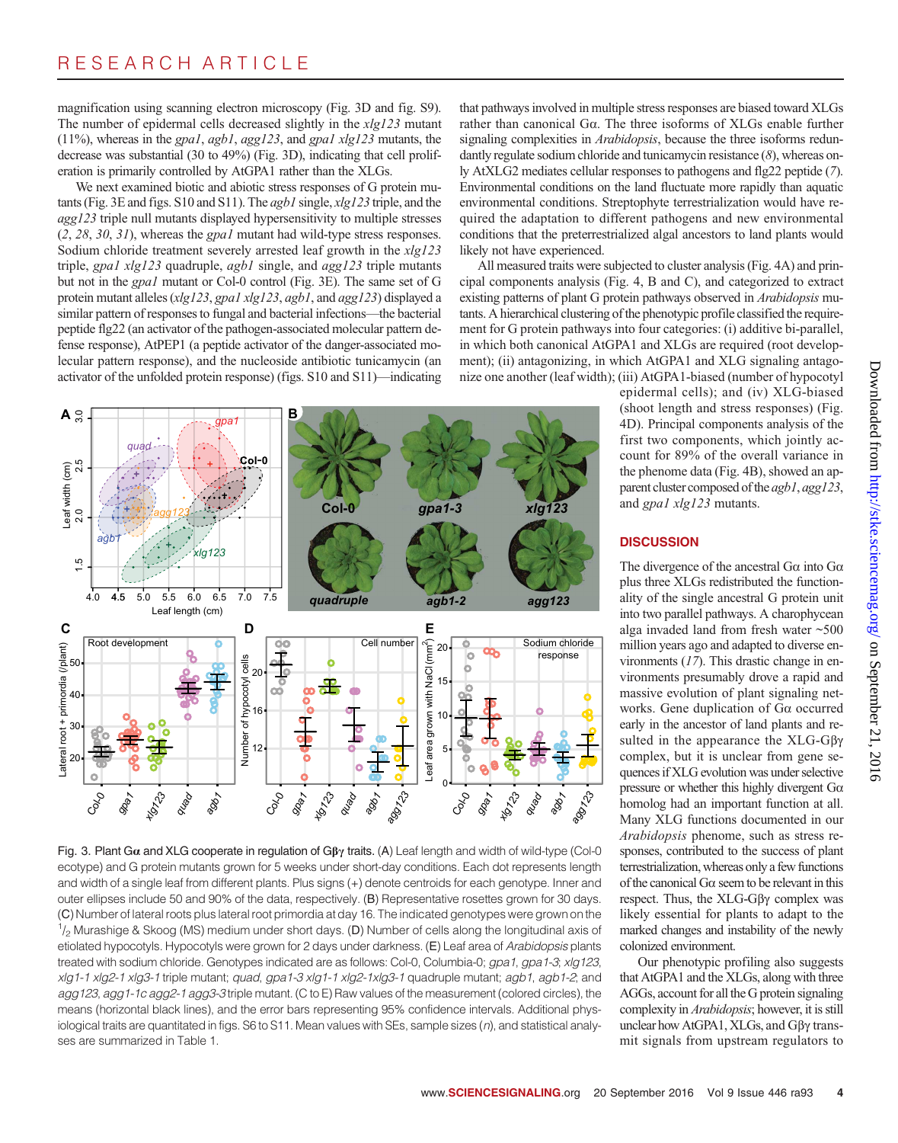magnification using scanning electron microscopy (Fig. 3D and fig. S9). The number of epidermal cells decreased slightly in the xlg123 mutant (11%), whereas in the gpa1, agb1, agg123, and gpa1 xlg123 mutants, the decrease was substantial (30 to 49%) (Fig. 3D), indicating that cell proliferation is primarily controlled by AtGPA1 rather than the XLGs.

We next examined biotic and abiotic stress responses of G protein mutants (Fig. 3E and figs. S10 and S11). The agb1 single, xlg123 triple, and the agg123 triple null mutants displayed hypersensitivity to multiple stresses (2, 28, 30, 31), whereas the gpa1 mutant had wild-type stress responses. Sodium chloride treatment severely arrested leaf growth in the xlg123 triple, gpa1 xlg123 quadruple, agb1 single, and agg123 triple mutants but not in the gpa1 mutant or Col-0 control (Fig. 3E). The same set of G protein mutant alleles (xlg123, gpa1 xlg123, agb1, and agg123) displayed a similar pattern of responses to fungal and bacterial infections—the bacterial peptide flg22 (an activator of the pathogen-associated molecular pattern defense response), AtPEP1 (a peptide activator of the danger-associated molecular pattern response), and the nucleoside antibiotic tunicamycin (an activator of the unfolded protein response) (figs. S10 and S11)—indicating





that pathways involved in multiple stress responses are biased toward XLGs rather than canonical Ga. The three isoforms of XLGs enable further signaling complexities in *Arabidopsis*, because the three isoforms redundantly regulate sodium chloride and tunicamycin resistance (8), whereas only AtXLG2 mediates cellular responses to pathogens and flg22 peptide (7). Environmental conditions on the land fluctuate more rapidly than aquatic environmental conditions. Streptophyte terrestrialization would have required the adaptation to different pathogens and new environmental conditions that the preterrestrialized algal ancestors to land plants would likely not have experienced.

All measured traits were subjected to cluster analysis (Fig. 4A) and principal components analysis (Fig. 4, B and C), and categorized to extract existing patterns of plant G protein pathways observed in Arabidopsis mutants. A hierarchical clustering of the phenotypic profile classified the requirement for G protein pathways into four categories: (i) additive bi-parallel, in which both canonical AtGPA1 and XLGs are required (root development); (ii) antagonizing, in which AtGPA1 and XLG signaling antagonize one another (leaf width); (iii) AtGPA1-biased (number of hypocotyl

epidermal cells); and (iv) XLG-biased (shoot length and stress responses) (Fig. 4D). Principal components analysis of the first two components, which jointly account for 89% of the overall variance in the phenome data (Fig. 4B), showed an apparent cluster composed of the *agb1*, *agg123*, and gpa1 xlg123 mutants.

#### **DISCUSSION**

The divergence of the ancestral  $G\alpha$  into  $G\alpha$ plus three XLGs redistributed the functionality of the single ancestral G protein unit into two parallel pathways. A charophycean alga invaded land from fresh water ~500 million years ago and adapted to diverse environments  $(17)$ . This drastic change in environments presumably drove a rapid and massive evolution of plant signaling networks. Gene duplication of Ga occurred early in the ancestor of land plants and resulted in the appearance the  $XLG-G\beta\gamma$ complex, but it is unclear from gene sequences if XLG evolution was under selective pressure or whether this highly divergent Ga homolog had an important function at all. Many XLG functions documented in our Arabidopsis phenome, such as stress responses, contributed to the success of plant terrestrialization, whereas only a few functions of the canonical  $G\alpha$  seem to be relevant in this respect. Thus, the XLG-Gβγ complex was likely essential for plants to adapt to the marked changes and instability of the newly colonized environment.

Our phenotypic profiling also suggests that AtGPA1 and the XLGs, along with three AGGs, account for all the G protein signaling complexity in Arabidopsis; however, it is still unclear how AtGPA1,  $XLGs$ , and G $\beta\gamma$  transmit signals from upstream regulators to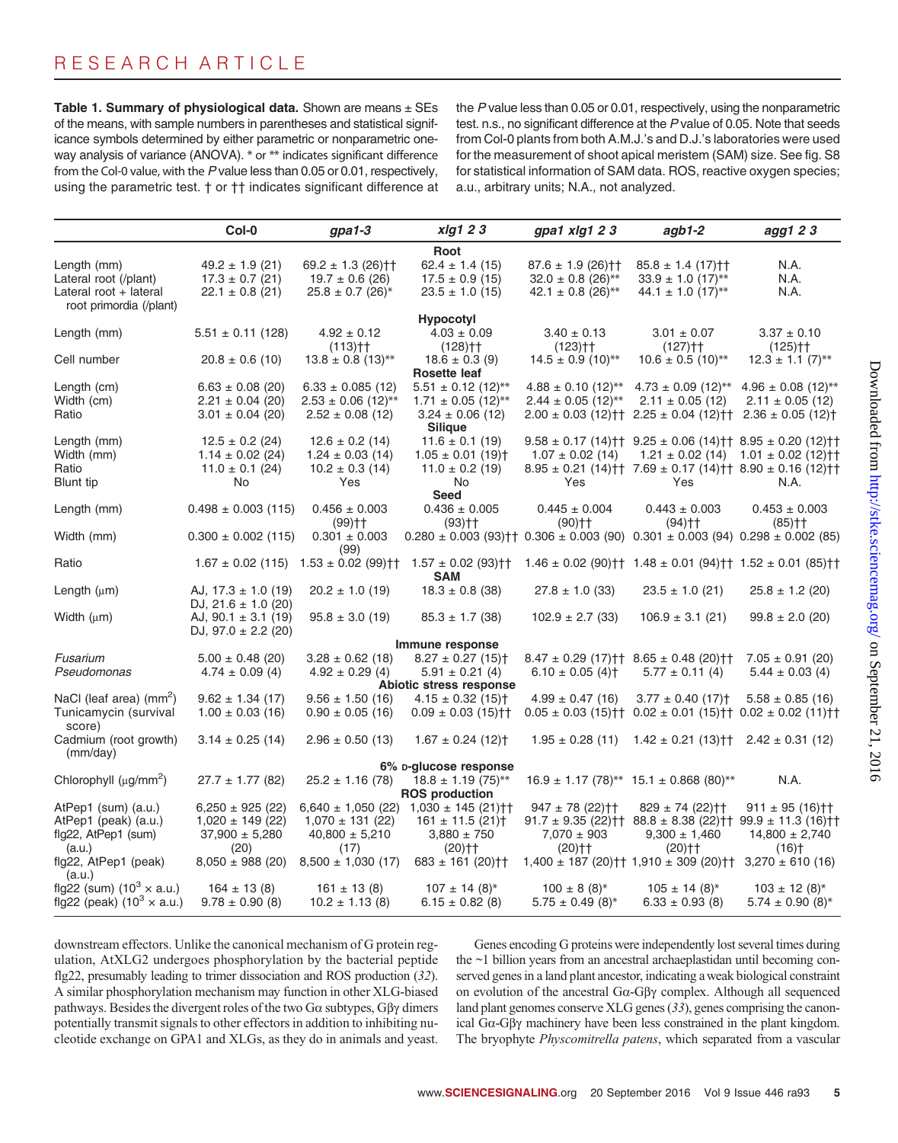Table 1. Summary of physiological data. Shown are means  $\pm$  SEs of the means, with sample numbers in parentheses and statistical significance symbols determined by either parametric or nonparametric oneway analysis of variance (ANOVA). \* or \*\* indicates significant difference from the Col-0 value, with the P value less than 0.05 or 0.01, respectively, using the parametric test. † or †† indicates significant difference at the P value less than 0.05 or 0.01, respectively, using the nonparametric test. n.s., no significant difference at the P value of 0.05. Note that seeds from Col-0 plants from both A.M.J.'s and D.J.'s laboratories were used for the measurement of shoot apical meristem (SAM) size. See fig. S8 for statistical information of SAM data. ROS, reactive oxygen species; a.u., arbitrary units; N.A., not analyzed.

|                                                   |                         |                                    | xlg1 2 3                                                                                      |                                                                        |                                                                                                            |                                                         |
|---------------------------------------------------|-------------------------|------------------------------------|-----------------------------------------------------------------------------------------------|------------------------------------------------------------------------|------------------------------------------------------------------------------------------------------------|---------------------------------------------------------|
|                                                   | Col-0                   | $g$ pa1-3                          |                                                                                               | gpa1 xlg1 23                                                           | $a$ gb1-2                                                                                                  | agg1 2 3                                                |
|                                                   |                         |                                    | Root                                                                                          |                                                                        |                                                                                                            |                                                         |
| Length (mm)                                       | $49.2 \pm 1.9$ (21)     | $69.2 \pm 1.3$ (26) <sup>++</sup>  | $62.4 \pm 1.4$ (15)                                                                           | $87.6 \pm 1.9$ (26) <sup>++</sup>                                      | $85.8 \pm 1.4$ (17) <sup>++</sup>                                                                          | N.A.                                                    |
| Lateral root (/plant)                             | $17.3 \pm 0.7$ (21)     | $19.7 \pm 0.6$ (26)                | $17.5 \pm 0.9$ (15)                                                                           | $32.0 \pm 0.8$ (26)**                                                  | $33.9 \pm 1.0$ (17)**                                                                                      | N.A.                                                    |
| Lateral root + lateral<br>root primordia (/plant) | $22.1 \pm 0.8$ (21)     | $25.8 \pm 0.7$ (26)*               | $23.5 \pm 1.0$ (15)                                                                           | 42.1 $\pm$ 0.8 (26)**                                                  | $44.1 \pm 1.0$ (17)**                                                                                      | N.A.                                                    |
|                                                   |                         |                                    | <b>Hypocotyl</b>                                                                              |                                                                        |                                                                                                            |                                                         |
| Length (mm)                                       | $5.51 \pm 0.11$ (128)   | $4.92 \pm 0.12$                    | $4.03 \pm 0.09$                                                                               | $3.40 \pm 0.13$                                                        | $3.01 \pm 0.07$                                                                                            | $3.37 \pm 0.10$                                         |
|                                                   |                         | $(113)$ <sup>++</sup>              | $(128)$ <sup>++</sup>                                                                         | $(123)$ <sup>++</sup>                                                  | $(127)$ <sup>++</sup>                                                                                      | $(125)$ <sup>++</sup>                                   |
| Cell number                                       | $20.8 \pm 0.6$ (10)     | $13.8 \pm 0.8$ (13)**              | $18.6 \pm 0.3$ (9)                                                                            | $14.5 \pm 0.9$ (10)**                                                  | $10.6 \pm 0.5$ (10)**                                                                                      | $12.3 \pm 1.1$ (7)**                                    |
|                                                   |                         |                                    | <b>Rosette leaf</b>                                                                           |                                                                        |                                                                                                            |                                                         |
| Length (cm)                                       | $6.63 \pm 0.08$ (20)    | $6.33 \pm 0.085$ (12)              | $5.51 \pm 0.12$ (12)**                                                                        |                                                                        | $4.88 \pm 0.10$ (12)** $4.73 \pm 0.09$ (12)** $4.96 \pm 0.08$ (12)**                                       |                                                         |
| Width (cm)                                        | $2.21 \pm 0.04$ (20)    | $2.53 \pm 0.06$ (12)**             | $1.71 \pm 0.05$ (12)**                                                                        | $2.44 \pm 0.05$ (12)**                                                 | $2.11 \pm 0.05$ (12)                                                                                       | $2.11 \pm 0.05$ (12)                                    |
| Ratio                                             | $3.01 \pm 0.04$ (20)    | $2.52 \pm 0.08$ (12)               | $3.24 \pm 0.06$ (12)                                                                          |                                                                        | $2.00 \pm 0.03$ (12) † $2.25 \pm 0.04$ (12) † $2.36 \pm 0.05$ (12) †                                       |                                                         |
|                                                   |                         |                                    | <b>Silique</b>                                                                                |                                                                        |                                                                                                            |                                                         |
| Length (mm)                                       | $12.5 \pm 0.2$ (24)     | $12.6 \pm 0.2$ (14)                | $11.6 \pm 0.1$ (19)                                                                           |                                                                        | $9.58 \pm 0.17$ (14) <sup>†</sup> † $9.25 \pm 0.06$ (14) <sup>†</sup> † $8.95 \pm 0.20$ (12) <sup>††</sup> |                                                         |
| Width (mm)                                        | $1.14 \pm 0.02$ (24)    | $1.24 \pm 0.03$ (14)               | $1.05 \pm 0.01$ (19) <sup>+</sup>                                                             | $1.07 \pm 0.02$ (14)                                                   |                                                                                                            | $1.21 \pm 0.02$ (14) $1.01 \pm 0.02$ (12) <sup>++</sup> |
| Ratio                                             | $11.0 \pm 0.1$ (24)     | $10.2 \pm 0.3$ (14)                | $11.0 \pm 0.2$ (19)                                                                           |                                                                        | $8.95 \pm 0.21$ (14) † 7.69 $\pm$ 0.17 (14) † 8.90 $\pm$ 0.16 (12) † †                                     |                                                         |
| Blunt tip                                         | <b>No</b>               | Yes                                | No                                                                                            | Yes                                                                    | Yes                                                                                                        | N.A.                                                    |
|                                                   |                         |                                    | Seed                                                                                          |                                                                        |                                                                                                            |                                                         |
| Length (mm)                                       | $0.498 \pm 0.003$ (115) | $0.456 \pm 0.003$                  | $0.436 \pm 0.005$                                                                             | $0.445 \pm 0.004$                                                      | $0.443 \pm 0.003$                                                                                          | $0.453 \pm 0.003$                                       |
|                                                   |                         | $(99)$ ††                          | $(93)$ ††                                                                                     | (90)††                                                                 | $(94)$ ††                                                                                                  | $(85)$ <sup>++</sup>                                    |
| Width (mm)                                        | $0.300 \pm 0.002$ (115) | $0.301 \pm 0.003$                  | $0.280 \pm 0.003$ (93) † $0.306 \pm 0.003$ (90) $0.301 \pm 0.003$ (94) $0.298 \pm 0.002$ (85) |                                                                        |                                                                                                            |                                                         |
|                                                   |                         | (99)                               |                                                                                               |                                                                        |                                                                                                            |                                                         |
| Ratio                                             | $1.67 \pm 0.02$ (115)   | $1.53 \pm 0.02$ (99) <sup>++</sup> | $1.57 \pm 0.02$ (93) <sup>††</sup><br><b>SAM</b>                                              | $1.46 \pm 0.02$ (90) † $1.48 \pm 0.01$ (94) † $1.52 \pm 0.01$ (85) † † |                                                                                                            |                                                         |
| Length $(\mu m)$                                  | AJ, $17.3 \pm 1.0$ (19) | $20.2 \pm 1.0$ (19)                | $18.3 \pm 0.8$ (38)                                                                           | $27.8 \pm 1.0$ (33)                                                    | $23.5 \pm 1.0$ (21)                                                                                        | $25.8 \pm 1.2$ (20)                                     |
|                                                   | DJ, $21.6 \pm 1.0$ (20) |                                    |                                                                                               |                                                                        |                                                                                                            |                                                         |
| Width $(\mu m)$                                   | AJ, $90.1 \pm 3.1$ (19) | $95.8 \pm 3.0$ (19)                | $85.3 \pm 1.7$ (38)                                                                           | $102.9 \pm 2.7$ (33)                                                   | $106.9 \pm 3.1$ (21)                                                                                       | $99.8 \pm 2.0$ (20)                                     |
|                                                   | DJ, $97.0 \pm 2.2$ (20) |                                    |                                                                                               |                                                                        |                                                                                                            |                                                         |
| Immune response                                   |                         |                                    |                                                                                               |                                                                        |                                                                                                            |                                                         |
| Fusarium                                          | $5.00 \pm 0.48$ (20)    | $3.28 \pm 0.62$ (18)               | $8.27 \pm 0.27$ (15) <sup>+</sup>                                                             |                                                                        | $8.47 \pm 0.29$ (17) <sup>++</sup> $8.65 \pm 0.48$ (20) <sup>++</sup>                                      | $7.05 \pm 0.91$ (20)                                    |
| Pseudomonas                                       | $4.74 \pm 0.09$ (4)     | $4.92 \pm 0.29$ (4)                | $5.91 \pm 0.21$ (4)                                                                           | $6.10 \pm 0.05$ (4) <sup>+</sup>                                       | $5.77 \pm 0.11$ (4)                                                                                        | $5.44 \pm 0.03$ (4)                                     |
|                                                   |                         |                                    | Abiotic stress response                                                                       |                                                                        |                                                                                                            |                                                         |
| NaCl (leaf area) $(mm^2)$                         | $9.62 \pm 1.34$ (17)    | $9.56 \pm 1.50$ (16)               | $4.15 \pm 0.32$ (15) <sup>+</sup>                                                             | $4.99 \pm 0.47$ (16)                                                   | $3.77 \pm 0.40$ (17) <sup>+</sup>                                                                          | $5.58 \pm 0.85$ (16)                                    |
| Tunicamycin (survival                             | $1.00 \pm 0.03$ (16)    | $0.90 \pm 0.05$ (16)               | $0.09 \pm 0.03$ (15) <sup>++</sup>                                                            |                                                                        | $0.05 \pm 0.03$ (15) † $0.02 \pm 0.01$ (15) † $0.02 \pm 0.02$ (11) † †                                     |                                                         |
| score)                                            |                         |                                    |                                                                                               |                                                                        |                                                                                                            |                                                         |
| Cadmium (root growth)                             | $3.14 \pm 0.25$ (14)    | $2.96 \pm 0.50$ (13)               | $1.67 \pm 0.24$ (12) <sup>†</sup>                                                             | $1.95 \pm 0.28$ (11)                                                   | $1.42 \pm 0.21$ (13) † †                                                                                   | $2.42 \pm 0.31$ (12)                                    |
| (mm/day)                                          |                         |                                    |                                                                                               |                                                                        |                                                                                                            |                                                         |
|                                                   |                         |                                    | 6% D-glucose response                                                                         |                                                                        |                                                                                                            |                                                         |
| Chlorophyll $(\mu g/mm^2)$                        | $27.7 \pm 1.77$ (82)    | $25.2 \pm 1.16$ (78)               | $18.8 \pm 1.19$ (75)**                                                                        |                                                                        | $16.9 \pm 1.17$ (78)** 15.1 $\pm$ 0.868 (80)**                                                             | N.A.                                                    |
|                                                   |                         |                                    | <b>ROS production</b>                                                                         |                                                                        |                                                                                                            |                                                         |
| AtPep1 (sum) (a.u.)                               | $6,250 \pm 925$ (22)    |                                    | $6,640 \pm 1,050$ (22) $1,030 \pm 145$ (21) <sup>++</sup>                                     | $947 \pm 78$ (22) † †                                                  | $829 \pm 74$ (22) † †                                                                                      | $911 \pm 95$ (16) <sup>++</sup>                         |
| AtPep1 (peak) (a.u.)                              | $1,020 \pm 149$ (22)    | $1,070 \pm 131$ (22)               | $161 \pm 11.5$ (21) <sup>+</sup>                                                              |                                                                        | $91.7 \pm 9.35$ (22) † 88.8 $\pm$ 8.38 (22) † 99.9 $\pm$ 11.3 (16) † †                                     |                                                         |
| fig22, AtPep1 (sum)                               | $37,900 \pm 5,280$      | $40,800 \pm 5,210$                 | $3,880 \pm 750$                                                                               | $7.070 \pm 903$                                                        | $9,300 \pm 1,460$                                                                                          | $14,800 \pm 2,740$                                      |
| (a.u.)                                            | (20)                    | (17)                               | $(20)$ <sup>++</sup>                                                                          | $(20)$ <sup>++</sup>                                                   | $(20)$ <sup>++</sup>                                                                                       | $(16)$ <sup>+</sup>                                     |
| flg22, AtPep1 (peak)                              | $8,050 \pm 988$ (20)    | $8,500 \pm 1,030$ (17)             | $683 \pm 161$ (20) <sup>++</sup>                                                              |                                                                        | $1,400 \pm 187$ (20) † $1,910 \pm 309$ (20) † †                                                            | $3,270 \pm 610$ (16)                                    |
| (a.u.)                                            |                         |                                    |                                                                                               |                                                                        |                                                                                                            |                                                         |
| flg22 (sum) $(10^3 \times a.u.)$                  | $164 \pm 13(8)$         | $161 \pm 13(8)$                    | $107 \pm 14$ (8)*                                                                             | $100 \pm 8$ (8)*                                                       | $105 \pm 14$ (8)*                                                                                          | $103 \pm 12 (8)^{*}$                                    |
| flg22 (peak) $(10^3 \times a.u.)$                 | $9.78 \pm 0.90$ (8)     | $10.2 \pm 1.13$ (8)                | $6.15 \pm 0.82$ (8)                                                                           | $5.75 \pm 0.49$ (8)*                                                   | $6.33 \pm 0.93$ (8)                                                                                        | $5.74 \pm 0.90$ (8)*                                    |

downstream effectors. Unlike the canonical mechanism of G protein regulation, AtXLG2 undergoes phosphorylation by the bacterial peptide flg22, presumably leading to trimer dissociation and ROS production (32). A similar phosphorylation mechanism may function in other XLG-biased pathways. Besides the divergent roles of the two  $Ga$  subtypes,  $G\beta\gamma$  dimers potentially transmit signals to other effectors in addition to inhibiting nucleotide exchange on GPA1 and XLGs, as they do in animals and yeast.

Genes encoding G proteins were independently lost several times during the ~1 billion years from an ancestral archaeplastidan until becoming conserved genes in a land plant ancestor, indicating a weak biological constraint on evolution of the ancestral  $Ga-G\beta\gamma$  complex. Although all sequenced land plant genomes conserve XLG genes (33), genes comprising the canonical Ga-Gbg machinery have been less constrained in the plant kingdom. The bryophyte *Physcomitrella patens*, which separated from a vascular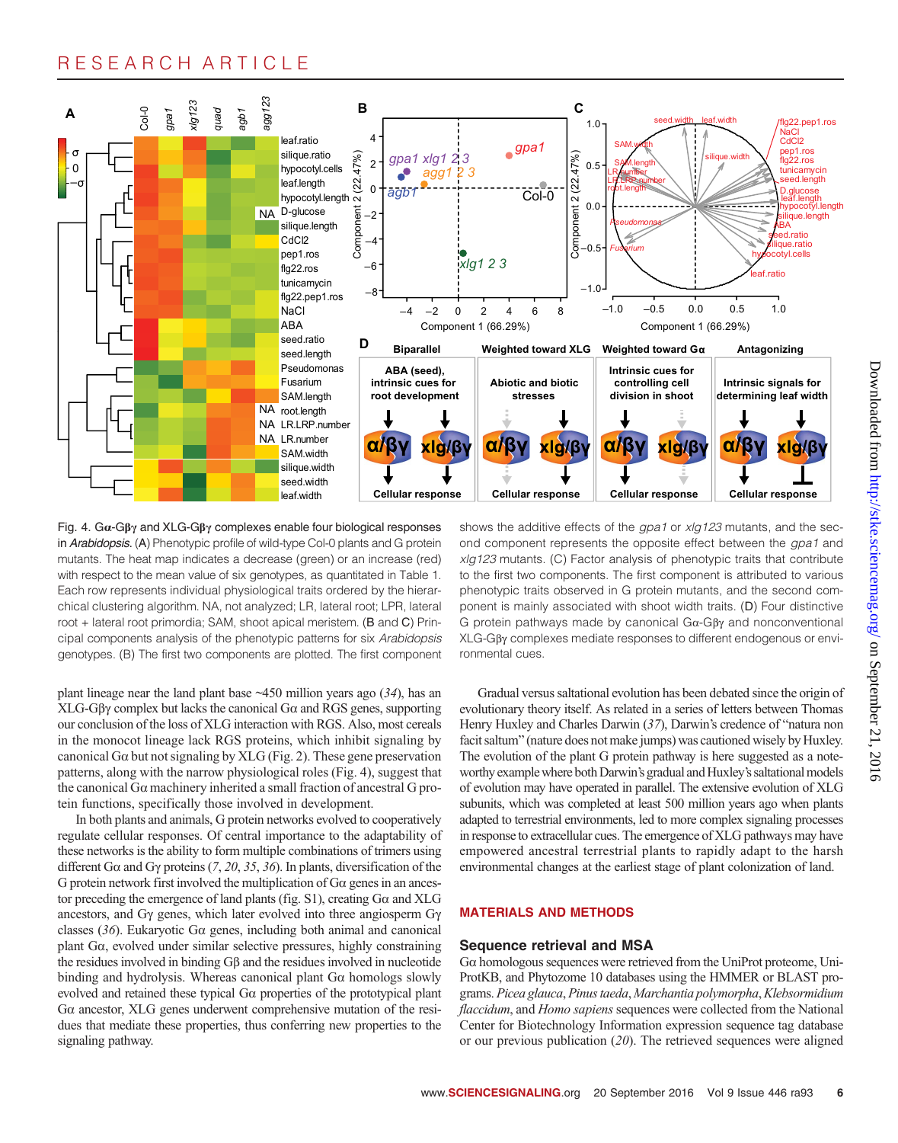

Fig. 4.  $Ga-G\beta\gamma$  and XLG-G $\beta\gamma$  complexes enable four biological responses in Arabidopsis. (A) Phenotypic profile of wild-type Col-0 plants and G protein mutants. The heat map indicates a decrease (green) or an increase (red) with respect to the mean value of six genotypes, as quantitated in Table 1. Each row represents individual physiological traits ordered by the hierarchical clustering algorithm. NA, not analyzed; LR, lateral root; LPR, lateral root + lateral root primordia; SAM, shoot apical meristem. (B and C) Principal components analysis of the phenotypic patterns for six Arabidopsis genotypes. (B) The first two components are plotted. The first component

plant lineage near the land plant base  $\sim$ 450 million years ago (34), has an  $XLG-G\beta\gamma$  complex but lacks the canonical G $\alpha$  and RGS genes, supporting our conclusion of the loss of XLG interaction with RGS. Also, most cereals in the monocot lineage lack RGS proteins, which inhibit signaling by canonical G $\alpha$  but not signaling by XLG (Fig. 2). These gene preservation patterns, along with the narrow physiological roles (Fig. 4), suggest that the canonical  $G\alpha$  machinery inherited a small fraction of ancestral  $G$  protein functions, specifically those involved in development.

In both plants and animals, G protein networks evolved to cooperatively regulate cellular responses. Of central importance to the adaptability of these networks is the ability to form multiple combinations of trimers using different G $\alpha$  and G $\gamma$  proteins (7, 20, 35, 36). In plants, diversification of the G protein network first involved the multiplication of  $Ga$  genes in an ancestor preceding the emergence of land plants (fig.  $S1$ ), creating  $G\alpha$  and XLG ancestors, and  $Gy$  genes, which later evolved into three angiosperm  $Gy$ classes (36). Eukaryotic Ga genes, including both animal and canonical plant Ga, evolved under similar selective pressures, highly constraining the residues involved in binding Gb and the residues involved in nucleotide binding and hydrolysis. Whereas canonical plant  $Ga$  homologs slowly evolved and retained these typical Ga properties of the prototypical plant <sup>G</sup>a ancestor, XLG genes underwent comprehensive mutation of the residues that mediate these properties, thus conferring new properties to the signaling pathway.

shows the additive effects of the gpa1 or xlg123 mutants, and the second component represents the opposite effect between the gpa1 and xlg123 mutants. (C) Factor analysis of phenotypic traits that contribute to the first two components. The first component is attributed to various phenotypic traits observed in G protein mutants, and the second component is mainly associated with shoot width traits. (D) Four distinctive G protein pathways made by canonical  $Ga-G\beta\gamma$  and nonconventional XLG-Gbg complexes mediate responses to different endogenous or environmental cues.

Gradual versus saltational evolution has been debated since the origin of evolutionary theory itself. As related in a series of letters between Thomas Henry Huxley and Charles Darwin (37), Darwin's credence of "natura non facit saltum" (nature does not make jumps) was cautioned wisely by Huxley. The evolution of the plant G protein pathway is here suggested as a noteworthy example where both Darwin's gradual and Huxley's saltational models of evolution may have operated in parallel. The extensive evolution of XLG subunits, which was completed at least 500 million years ago when plants adapted to terrestrial environments, led to more complex signaling processes in response to extracellular cues. The emergence of XLG pathways may have empowered ancestral terrestrial plants to rapidly adapt to the harsh environmental changes at the earliest stage of plant colonization of land.

#### MATERIALS AND METHODS

#### Sequence retrieval and MSA

<sup>G</sup>a homologous sequences were retrieved from the UniProt proteome, Uni-ProtKB, and Phytozome 10 databases using the HMMER or BLAST programs. Picea glauca, Pinus taeda, Marchantia polymorpha,Klebsormidium flaccidum, and Homo sapiens sequences were collected from the National Center for Biotechnology Information expression sequence tag database or our previous publication (20). The retrieved sequences were aligned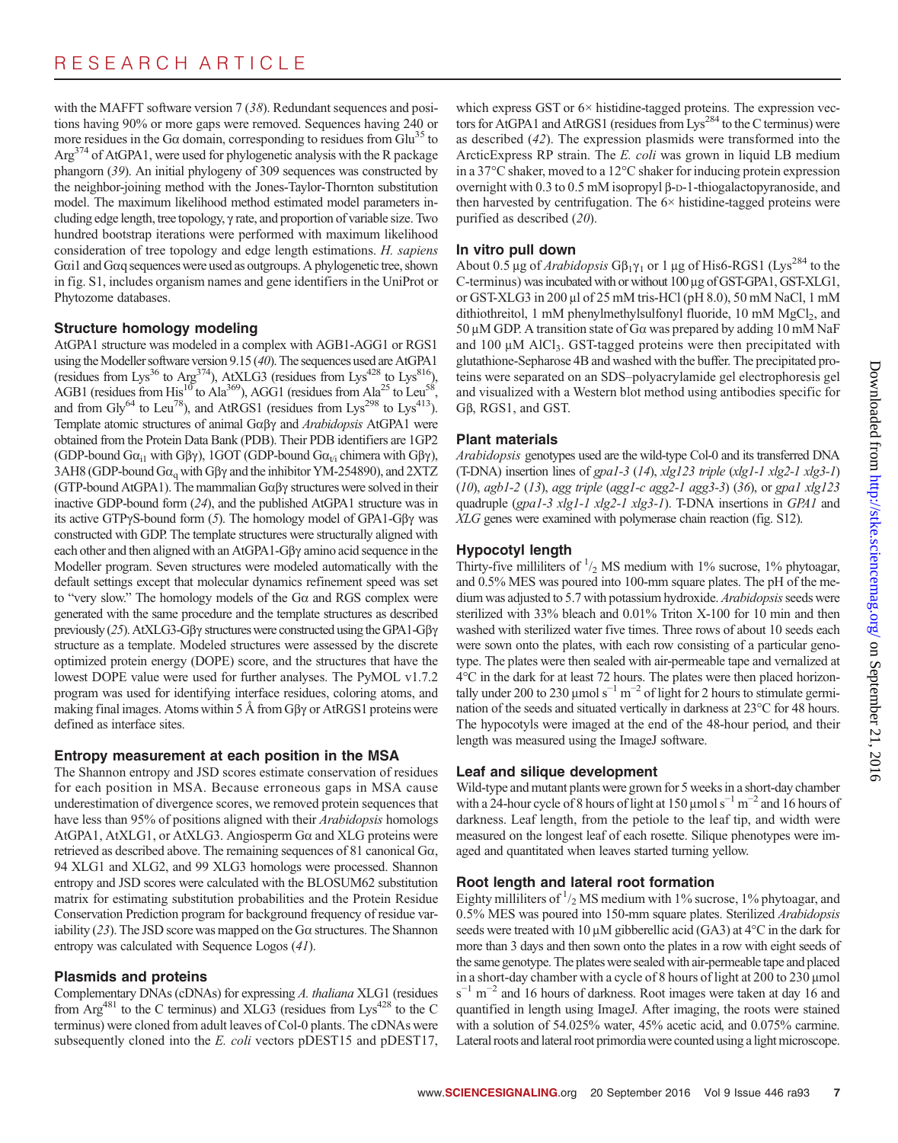with the MAFFT software version 7 (38). Redundant sequences and positions having 90% or more gaps were removed. Sequences having 240 or more residues in the G $\alpha$  domain, corresponding to residues from Glu<sup>35</sup> to  $Arg<sup>374</sup>$  of AtGPA1, were used for phylogenetic analysis with the R package phangorn (39). An initial phylogeny of 309 sequences was constructed by the neighbor-joining method with the Jones-Taylor-Thornton substitution model. The maximum likelihood method estimated model parameters including edge length, tree topology,  $\gamma$  rate, and proportion of variable size. Two hundred bootstrap iterations were performed with maximum likelihood consideration of tree topology and edge length estimations. H. sapiens <sup>G</sup>ai1 and Gaq sequences were used as outgroups. A phylogenetic tree, shown in fig. S1, includes organism names and gene identifiers in the UniProt or Phytozome databases.

### Structure homology modeling

AtGPA1 structure was modeled in a complex with AGB1-AGG1 or RGS1 using the Modeller software version 9.15 (40). The sequences used are AtGPA1 (residues from Lys<sup>36</sup> to Arg<sup>374</sup>), AtXLG3 (residues from Lys<sup>428</sup> to Lys<sup>816</sup>), AGB1 (residues from His<sup>10</sup> to Ala<sup>369</sup>), AGG1 (residues from Ala<sup>25</sup> to Leu<sup>58</sup>, and from Gly<sup>64</sup> to Leu<sup>78</sup>), and AtRGS1 (residues from Lys<sup>298</sup> to Lys<sup>413</sup>). Template atomic structures of animal  $G\alpha\beta\gamma$  and Arabidopsis AtGPA1 were obtained from the Protein Data Bank (PDB). Their PDB identifiers are 1GP2 (GDP-bound G $\alpha_{i1}$  with G $\beta\gamma$ ), 1GOT (GDP-bound G $\alpha_{\nu i}$  chimera with G $\beta\gamma$ ), 3AH8 (GDP-bound  $Ga<sub>q</sub>$  with G $\beta\gamma$  and the inhibitor YM-254890), and 2XTZ (GTP-bound AtGPA1). The mammalian  $G\alpha\beta\gamma$  structures were solved in their inactive GDP-bound form (24), and the published AtGPA1 structure was in its active GTP $\gamma$ S-bound form (5). The homology model of GPA1-G $\beta\gamma$  was constructed with GDP. The template structures were structurally aligned with each other and then aligned with an  $AtGPA1-G\beta\gamma$  amino acid sequence in the Modeller program. Seven structures were modeled automatically with the default settings except that molecular dynamics refinement speed was set to "very slow." The homology models of the Ga and RGS complex were generated with the same procedure and the template structures as described previously  $(25)$ . AtXLG3-G $\beta\gamma$  structures were constructed using the GPA1-G $\beta\gamma$ structure as a template. Modeled structures were assessed by the discrete optimized protein energy (DOPE) score, and the structures that have the lowest DOPE value were used for further analyses. The PyMOL v1.7.2 program was used for identifying interface residues, coloring atoms, and making final images. Atoms within  $5 \text{ Å}$  from G $\beta\gamma$  or AtRGS1 proteins were defined as interface sites.

### Entropy measurement at each position in the MSA

The Shannon entropy and JSD scores estimate conservation of residues for each position in MSA. Because erroneous gaps in MSA cause underestimation of divergence scores, we removed protein sequences that have less than 95% of positions aligned with their Arabidopsis homologs AtGPA1, AtXLG1, or AtXLG3. Angiosperm Ga and XLG proteins were retrieved as described above. The remaining sequences of 81 canonical Ga, 94 XLG1 and XLG2, and 99 XLG3 homologs were processed. Shannon entropy and JSD scores were calculated with the BLOSUM62 substitution matrix for estimating substitution probabilities and the Protein Residue Conservation Prediction program for background frequency of residue variability  $(23)$ . The JSD score was mapped on the G $\alpha$  structures. The Shannon entropy was calculated with Sequence Logos (41).

## Plasmids and proteins

Complementary DNAs (cDNAs) for expressing A. thaliana XLG1 (residues from  $Arg^{481}$  to the C terminus) and XLG3 (residues from Lys<sup>428</sup> to the C terminus) were cloned from adult leaves of Col-0 plants. The cDNAs were subsequently cloned into the E. coli vectors pDEST15 and pDEST17,

which express GST or 6× histidine-tagged proteins. The expression vectors for AtGPA1 and AtRGS1 (residues from Lys<sup>284</sup> to the C terminus) were as described (42). The expression plasmids were transformed into the ArcticExpress RP strain. The E. coli was grown in liquid LB medium in a 37°C shaker, moved to a 12°C shaker for inducing protein expression overnight with 0.3 to 0.5 mM isopropyl  $\beta$ -D-1-thiogalactopyranoside, and then harvested by centrifugation. The  $6\times$  histidine-tagged proteins were purified as described (20).

## In vitro pull down

About 0.5 µg of Arabidopsis G $\beta_1 \gamma_1$  or 1 µg of His6-RGS1 (Lys<sup>284</sup> to the C-terminus) was incubated with or without 100 µg of GST-GPA1, GST-XLG1, or GST-XLG3 in  $200 \mu$ l of  $25 \mu$ M tris-HCl (pH  $8.0$ ),  $50 \mu$ M NaCl, 1 mM dithiothreitol, 1 mM phenylmethylsulfonyl fluoride, 10 mM  $MgCl<sub>2</sub>$ , and 50 µM GDP. A transition state of G $\alpha$  was prepared by adding 10 mM NaF and  $100 \mu M$  AlCl<sub>3</sub>. GST-tagged proteins were then precipitated with glutathione-Sepharose 4B and washed with the buffer. The precipitated proteins were separated on an SDS–polyacrylamide gel electrophoresis gel and visualized with a Western blot method using antibodies specific for <sup>G</sup>b, RGS1, and GST.

## Plant materials

Arabidopsis genotypes used are the wild-type Col-0 and its transferred DNA (T-DNA) insertion lines of gpa1-3 (14),  $xlg123$  triple  $(xlg1-1 xlg2-1 xlg3-1)$ (10), agb1-2 (13), agg triple (agg1-c agg2-1 agg3-3) (36), or gpa1 xlg123 quadruple (gpa1-3 xlg1-1 xlg2-1 xlg3-1). T-DNA insertions in GPA1 and XLG genes were examined with polymerase chain reaction (fig. S12).

## Hypocotyl length

Thirty-five milliliters of  $\frac{1}{2}$  MS medium with 1% sucrose, 1% phytoagar, and 0.5% MES was poured into 100-mm square plates. The pH of the medium was adjusted to 5.7 with potassium hydroxide. Arabidopsis seeds were sterilized with 33% bleach and 0.01% Triton X-100 for 10 min and then washed with sterilized water five times. Three rows of about 10 seeds each were sown onto the plates, with each row consisting of a particular genotype. The plates were then sealed with air-permeable tape and vernalized at 4°C in the dark for at least 72 hours. The plates were then placed horizontally under 200 to 230 µmol s<sup>-1</sup> m<sup>-2</sup> of light for 2 hours to stimulate germination of the seeds and situated vertically in darkness at 23°C for 48 hours. The hypocotyls were imaged at the end of the 48-hour period, and their length was measured using the ImageJ software.

## Leaf and silique development

Wild-type and mutant plants were grown for 5 weeks in a short-day chamber with a 24-hour cycle of 8 hours of light at 150 µmol s<sup>-1</sup> m<sup>-2</sup> and 16 hours of darkness. Leaf length, from the petiole to the leaf tip, and width were measured on the longest leaf of each rosette. Silique phenotypes were imaged and quantitated when leaves started turning yellow.

## Root length and lateral root formation

Eighty milliliters of  $\frac{1}{2}$  MS medium with 1% sucrose, 1% phytoagar, and 0.5% MES was poured into 150-mm square plates. Sterilized Arabidopsis seeds were treated with 10  $\mu$ M gibberellic acid (GA3) at 4°C in the dark for more than 3 days and then sown onto the plates in a row with eight seeds of the same genotype. The plates were sealed with air-permeable tape and placed in a short-day chamber with a cycle of 8 hours of light at  $200$  to  $230 \mu$ mol  $s^{-1}$  m<sup>-2</sup> and 16 hours of darkness. Root images were taken at day 16 and quantified in length using ImageJ. After imaging, the roots were stained with a solution of 54.025% water, 45% acetic acid, and 0.075% carmine. Lateral roots and lateral root primordiawere counted using a light microscope.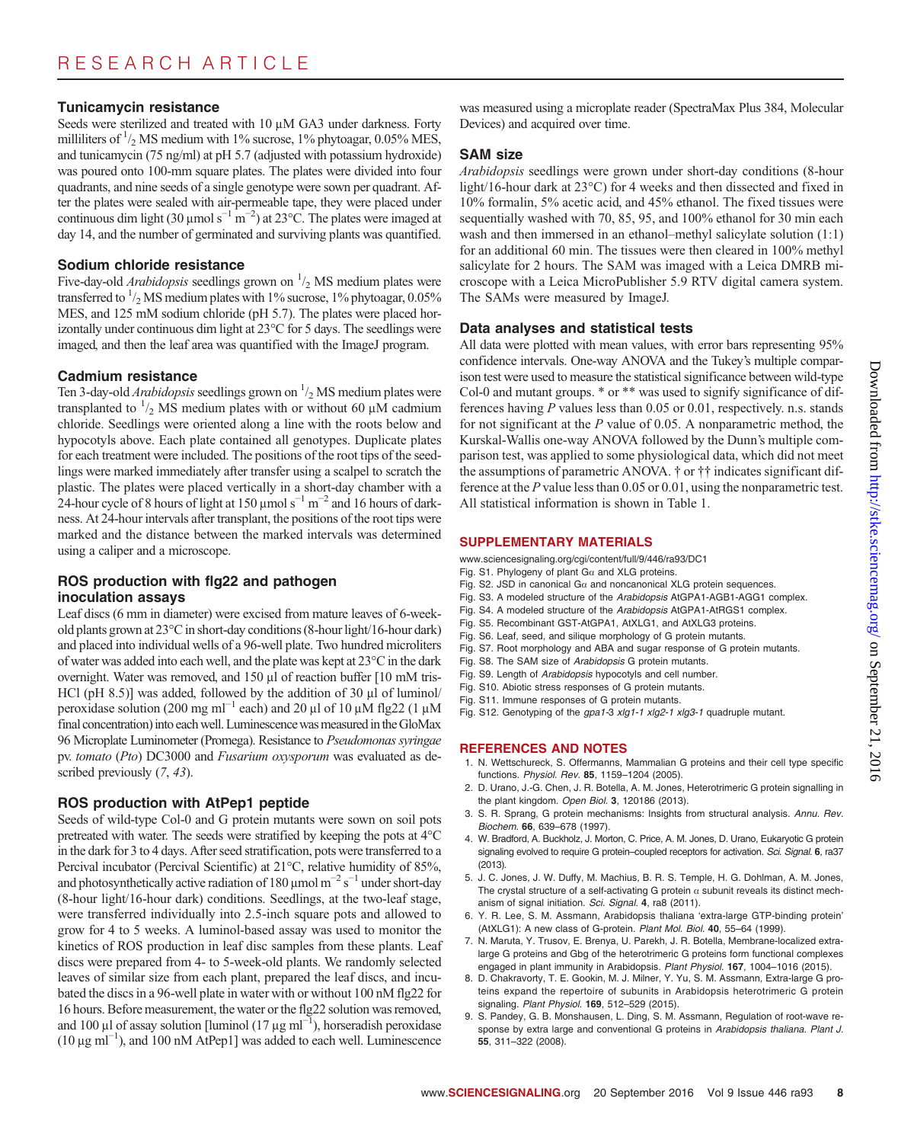#### Tunicamycin resistance

Seeds were sterilized and treated with  $10 \mu M$  GA3 under darkness. Forty milliliters of  $\frac{1}{2}$  MS medium with 1% sucrose, 1% phytoagar, 0.05% MES, and tunicamycin (75 ng/ml) at pH 5.7 (adjusted with potassium hydroxide) was poured onto 100-mm square plates. The plates were divided into four quadrants, and nine seeds of a single genotype were sown per quadrant. After the plates were sealed with air-permeable tape, they were placed under continuous dim light (30 µmol s<sup>-1</sup> m<sup>-2</sup>) at 23°C. The plates were imaged at day 14, and the number of germinated and surviving plants was quantified day 14, and the number of germinated and surviving plants was quantified.

#### Sodium chloride resistance

Five-day-old *Arabidopsis* seedlings grown on  $\frac{1}{2}$  MS medium plates were transferred to  $\frac{1}{2}$  MS medium plates with 1% sucrose, 1% phytoagar, 0.05% MES, and 125 mM sodium chloride (pH 5.7). The plates were placed horizontally under continuous dim light at 23°C for 5 days. The seedlings were imaged, and then the leaf area was quantified with the ImageJ program.

#### Cadmium resistance

Ten 3-day-old *Arabidopsis* seedlings grown on  $\frac{1}{2}$  MS medium plates were transplanted to  $\frac{1}{2}$  MS medium plates with or without 60  $\mu$ M cadmium chloride. Seedlings were oriented along a line with the roots below and chloride. Seedlings were oriented along a line with the roots below and hypocotyls above. Each plate contained all genotypes. Duplicate plates for each treatment were included. The positions of the root tips of the seedlings were marked immediately after transfer using a scalpel to scratch the plastic. The plates were placed vertically in a short-day chamber with a 24-hour cycle of 8 hours of light at 150 µmol s<sup>-1</sup> m<sup>-2</sup> and 16 hours of darkness. At 24-hour intervals after transplant, the positions of the root tips were marked and the distance between the marked intervals was determined using a caliper and a microscope.

### ROS production with flg22 and pathogen inoculation assays

Leaf discs (6 mm in diameter) were excised from mature leaves of 6-weekold plants grown at 23°C in short-day conditions (8-hour light/16-hour dark) and placed into individual wells of a 96-well plate. Two hundred microliters of water was added into each well, and the plate was kept at 23°C in the dark overnight. Water was removed, and  $150 \mu l$  of reaction buffer  $[10 \text{ mM tris-}$ HCl ( $pH$  8.5)] was added, followed by the addition of 30  $\mu$ l of luminol/ peroxidase solution (200 mg ml<sup>-1</sup> each) and 20 µl of 10 µM flg22 (1 µM final concentration) into each well. Luminescence was measured in the GloMax 96 Microplate Luminometer (Promega). Resistance to Pseudomonas syringae pv. tomato (Pto) DC3000 and Fusarium oxysporum was evaluated as described previously  $(7, 43)$ .

### ROS production with AtPep1 peptide

Seeds of wild-type Col-0 and G protein mutants were sown on soil pots pretreated with water. The seeds were stratified by keeping the pots at 4°C in the dark for 3 to 4 days. After seed stratification, pots were transferred to a Percival incubator (Percival Scientific) at 21°C, relative humidity of 85%, and photosynthetically active radiation of 180  $\mu$ mol m<sup>-2</sup> s<sup>-1</sup> under short-day<br>(8-hour light/16-hour dark) conditions. Seedlings, at the two-leaf stage (8-hour light/16-hour dark) conditions. Seedlings, at the two-leaf stage, were transferred individually into 2.5-inch square pots and allowed to grow for 4 to 5 weeks. A luminol-based assay was used to monitor the kinetics of ROS production in leaf disc samples from these plants. Leaf discs were prepared from 4- to 5-week-old plants. We randomly selected leaves of similar size from each plant, prepared the leaf discs, and incubated the discs in a 96-well plate in water with or without 100 nM flg22 for 16 hours. Before measurement, the water or the flg22 solution was removed, and 100 µl of assay solution [luminol  $(17 \mu g \text{ m}^{-1})$ , horseradish peroxidase<br>(10 µg ml<sup>-1</sup>), and 100 nM AtPen11 was added to each well. I uminescence (10 mg ml−<sup>1</sup> ), and 100 nM AtPep1] was added to each well. Luminescence

was measured using a microplate reader (SpectraMax Plus 384, Molecular Devices) and acquired over time.

### SAM size

Arabidopsis seedlings were grown under short-day conditions (8-hour light/16-hour dark at 23°C) for 4 weeks and then dissected and fixed in 10% formalin, 5% acetic acid, and 45% ethanol. The fixed tissues were sequentially washed with 70, 85, 95, and 100% ethanol for 30 min each wash and then immersed in an ethanol–methyl salicylate solution  $(1:1)$ for an additional 60 min. The tissues were then cleared in 100% methyl salicylate for 2 hours. The SAM was imaged with a Leica DMRB microscope with a Leica MicroPublisher 5.9 RTV digital camera system. The SAMs were measured by ImageJ.

#### Data analyses and statistical tests

All data were plotted with mean values, with error bars representing 95% confidence intervals. One-way ANOVA and the Tukey's multiple comparison test were used to measure the statistical significance between wild-type Col-0 and mutant groups. \* or \*\* was used to signify significance of differences having  $P$  values less than 0.05 or 0.01, respectively. n.s. stands for not significant at the  $P$  value of 0.05. A nonparametric method, the Kurskal-Wallis one-way ANOVA followed by the Dunn's multiple comparison test, was applied to some physiological data, which did not meet the assumptions of parametric ANOVA. † or †† indicates significant difference at the P value less than 0.05 or 0.01, using the nonparametric test. All statistical information is shown in Table 1.

#### SUPPLEMENTARY MATERIALS

[www.sciencesignaling.org/cgi/content/full/9/446/ra93/DC1](http://www.sciencesignaling.org/cgi/content/full/9/446/ra93/DC1)

- Fig. S1. Phylogeny of plant  $Ga$  and XLG proteins.
- Fig. S2. JSD in canonical G $\alpha$  and noncanonical XLG protein sequences.
- Fig. S3. A modeled structure of the Arabidopsis AtGPA1-AGB1-AGG1 complex.
- Fig. S4. A modeled structure of the Arabidopsis AtGPA1-AtRGS1 complex.
- Fig. S5. Recombinant GST-AtGPA1, AtXLG1, and AtXLG3 proteins.
- Fig. S6. Leaf, seed, and silique morphology of G protein mutants.
- Fig. S7. Root morphology and ABA and sugar response of G protein mutants.
- Fig. S8. The SAM size of Arabidopsis G protein mutants.
- Fig. S9. Length of Arabidopsis hypocotyls and cell number.
- Fig. S10. Abiotic stress responses of G protein mutants. Fig. S11. Immune responses of G protein mutants.
- Fig. S12. Genotyping of the gpa1-3 xlg1-1 xlg2-1 xlg3-1 quadruple mutant.

### REFERENCES AND NOTES

- 1. N. Wettschureck, S. Offermanns, Mammalian G proteins and their cell type specific functions. Physiol. Rev. 85, 1159–1204 (2005).
- 2. D. Urano, J.-G. Chen, J. R. Botella, A. M. Jones, Heterotrimeric G protein signalling in the plant kingdom. Open Biol. 3, 120186 (2013).
- 3. S. R. Sprang, G protein mechanisms: Insights from structural analysis. Annu. Rev. Biochem. 66, 639–678 (1997).
- 4. W. Bradford, A. Buckholz, J. Morton, C. Price, A. M. Jones, D. Urano, Eukaryotic G protein signaling evolved to require G protein-coupled receptors for activation. Sci. Signal. 6, ra37 (2013).
- 5. J. C. Jones, J. W. Duffy, M. Machius, B. R. S. Temple, H. G. Dohlman, A. M. Jones, The crystal structure of a self-activating G protein  $\alpha$  subunit reveals its distinct mechanism of signal initiation. Sci. Signal. 4, ra8 (2011).
- 6. Y. R. Lee, S. M. Assmann, Arabidopsis thaliana 'extra-large GTP-binding protein' (AtXLG1): A new class of G-protein. Plant Mol. Biol. 40, 55–64 (1999).
- 7. N. Maruta, Y. Trusov, E. Brenya, U. Parekh, J. R. Botella, Membrane-localized extralarge G proteins and Gbg of the heterotrimeric G proteins form functional complexes engaged in plant immunity in Arabidopsis. Plant Physiol. 167, 1004-1016 (2015).
- 8. D. Chakravorty, T. E. Gookin, M. J. Milner, Y. Yu, S. M. Assmann, Extra-large G proteins expand the repertoire of subunits in Arabidopsis heterotrimeric G protein signaling. Plant Physiol. 169, 512-529 (2015).
- 9. S. Pandey, G. B. Monshausen, L. Ding, S. M. Assmann, Regulation of root-wave response by extra large and conventional G proteins in Arabidopsis thaliana. Plant J. 55, 311–322 (2008).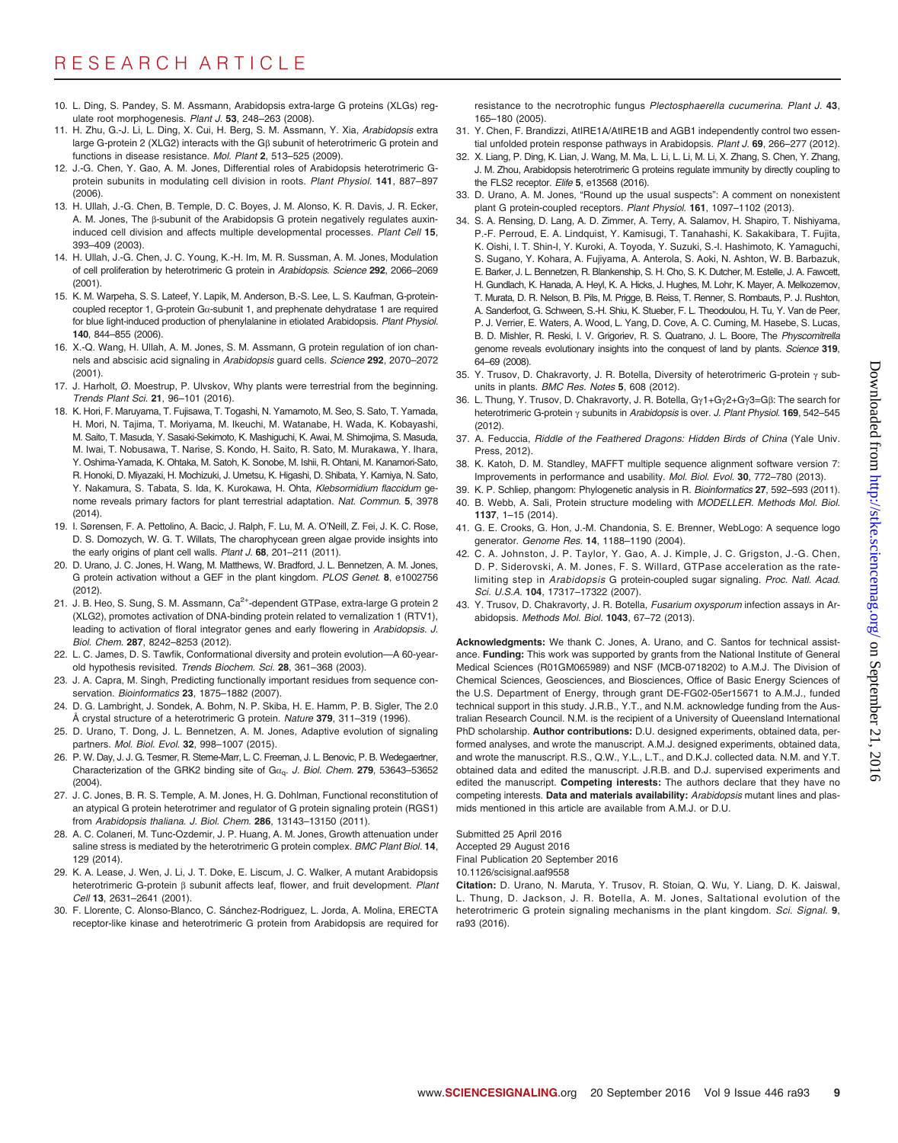- 10. L. Ding, S. Pandey, S. M. Assmann, Arabidopsis extra-large G proteins (XLGs) regulate root morphogenesis. Plant J. 53, 248–263 (2008).
- 11. H. Zhu, G.-J. Li, L. Ding, X. Cui, H. Berg, S. M. Assmann, Y. Xia, Arabidopsis extra large G-protein 2 (XLG2) interacts with the G<sub>B</sub> subunit of heterotrimeric G protein and functions in disease resistance. Mol. Plant 2, 513–525 (2009).
- 12. J.-G. Chen, Y. Gao, A. M. Jones, Differential roles of Arabidopsis heterotrimeric Gprotein subunits in modulating cell division in roots. Plant Physiol. 141, 887–897 (2006).
- 13. H. Ullah, J.-G. Chen, B. Temple, D. C. Boyes, J. M. Alonso, K. R. Davis, J. R. Ecker, A. M. Jones, The ß-subunit of the Arabidopsis G protein negatively regulates auxininduced cell division and affects multiple developmental processes. Plant Cell 15, 393–409 (2003).
- 14. H. Ullah, J.-G. Chen, J. C. Young, K.-H. Im, M. R. Sussman, A. M. Jones, Modulation of cell proliferation by heterotrimeric G protein in Arabidopsis. Science 292, 2066–2069 (2001).
- 15. K. M. Warpeha, S. S. Lateef, Y. Lapik, M. Anderson, B.-S. Lee, L. S. Kaufman, G-proteincoupled receptor 1, G-protein  $Ga$ -subunit 1, and prephenate dehydratase 1 are required for blue light-induced production of phenylalanine in etiolated Arabidopsis. Plant Physiol. 140, 844–855 (2006).
- 16. X.-Q. Wang, H. Ullah, A. M. Jones, S. M. Assmann, G protein regulation of ion channels and abscisic acid signaling in Arabidopsis guard cells. Science 292, 2070–2072  $(2001)$
- 17. J. Harholt, Ø. Moestrup, P. Ulvskov, Why plants were terrestrial from the beginning. Trends Plant Sci. 21, 96–101 (2016).
- 18. K. Hori, F. Maruyama, T. Fujisawa, T. Togashi, N. Yamamoto, M. Seo, S. Sato, T. Yamada, H. Mori, N. Tajima, T. Moriyama, M. Ikeuchi, M. Watanabe, H. Wada, K. Kobayashi, M. Saito, T. Masuda, Y. Sasaki-Sekimoto, K. Mashiguchi, K. Awai, M. Shimojima, S. Masuda, M. Iwai, T. Nobusawa, T. Narise, S. Kondo, H. Saito, R. Sato, M. Murakawa, Y. Ihara, Y. Oshima-Yamada, K. Ohtaka, M. Satoh, K. Sonobe, M. Ishii, R. Ohtani, M. Kanamori-Sato, R. Honoki, D. Miyazaki, H. Mochizuki, J. Umetsu, K. Higashi, D. Shibata, Y. Kamiya, N. Sato, Y. Nakamura, S. Tabata, S. Ida, K. Kurokawa, H. Ohta, Klebsormidium flaccidum genome reveals primary factors for plant terrestrial adaptation. Nat. Commun. 5, 3978 (2014).
- 19. I. Sørensen, F. A. Pettolino, A. Bacic, J. Ralph, F. Lu, M. A. O'Neill, Z. Fei, J. K. C. Rose, D. S. Domozych, W. G. T. Willats, The charophycean green algae provide insights into the early origins of plant cell walls. Plant J. 68, 201-211 (2011).
- 20. D. Urano, J. C. Jones, H. Wang, M. Matthews, W. Bradford, J. L. Bennetzen, A. M. Jones, G protein activation without a GEF in the plant kingdom. PLOS Genet. 8, e1002756 (2012).
- 21. J. B. Heo, S. Sung, S. M. Assmann,  $Ca^{2+}$ -dependent GTPase, extra-large G protein 2 (XLG2), promotes activation of DNA-binding protein related to vernalization 1 (RTV1), leading to activation of floral integrator genes and early flowering in Arabidopsis. J. Biol. Chem. 287, 8242–8253 (2012).
- 22. L. C. James, D. S. Tawfik, Conformational diversity and protein evolution—A 60-yearold hypothesis revisited. Trends Biochem. Sci. 28, 361–368 (2003).
- 23. J. A. Capra, M. Singh, Predicting functionally important residues from sequence conservation. Bioinformatics 23, 1875-1882 (2007).
- 24. D. G. Lambright, J. Sondek, A. Bohm, N. P. Skiba, H. E. Hamm, P. B. Sigler, The 2.0 Å crystal structure of a heterotrimeric G protein. Nature 379, 311-319 (1996).
- 25. D. Urano, T. Dong, J. L. Bennetzen, A. M. Jones, Adaptive evolution of signaling partners. Mol. Biol. Evol. 32, 998-1007 (2015).
- 26. P. W. Day, J. J. G. Tesmer, R. Sterne-Marr, L. C. Freeman, J. L. Benovic, P. B. Wedegaertner, Characterization of the GRK2 binding site of G $\alpha_{\rm q}$ . J. Biol. Chem. 279, 53643-53652 (2004).
- 27. J. C. Jones, B. R. S. Temple, A. M. Jones, H. G. Dohlman, Functional reconstitution of an atypical G protein heterotrimer and regulator of G protein signaling protein (RGS1) from Arabidopsis thaliana. J. Biol. Chem. 286, 13143–13150 (2011).
- 28. A. C. Colaneri, M. Tunc-Ozdemir, J. P. Huang, A. M. Jones, Growth attenuation under saline stress is mediated by the heterotrimeric G protein complex. BMC Plant Biol. 14, 129 (2014).
- 29. K. A. Lease, J. Wen, J. Li, J. T. Doke, E. Liscum, J. C. Walker, A mutant Arabidopsis heterotrimeric G-protein  $\beta$  subunit affects leaf, flower, and fruit development. Plant Cell 13, 2631–2641 (2001).
- 30. F. Llorente, C. Alonso-Blanco, C. Sánchez-Rodriguez, L. Jorda, A. Molina, ERECTA receptor-like kinase and heterotrimeric G protein from Arabidopsis are required for

resistance to the necrotrophic fungus Plectosphaerella cucumerina. Plant J. 43, 165–180 (2005).

- 31. Y. Chen, F. Brandizzi, AtIRE1A/AtIRE1B and AGB1 independently control two essential unfolded protein response pathways in Arabidopsis. Plant J. 69, 266-277 (2012).
- 32. X. Liang, P. Ding, K. Lian, J. Wang, M. Ma, L. Li, L. Li, M. Li, X. Zhang, S. Chen, Y. Zhang, J. M. Zhou, Arabidopsis heterotrimeric G proteins regulate immunity by directly coupling to the FLS2 receptor. Elife 5, e13568 (2016).
- 33. D. Urano, A. M. Jones, "Round up the usual suspects": A comment on nonexistent plant G protein-coupled receptors. Plant Physiol. 161, 1097–1102 (2013).
- 34. S. A. Rensing, D. Lang, A. D. Zimmer, A. Terry, A. Salamov, H. Shapiro, T. Nishiyama, P.-F. Perroud, E. A. Lindquist, Y. Kamisugi, T. Tanahashi, K. Sakakibara, T. Fujita, K. Oishi, I. T. Shin-I, Y. Kuroki, A. Toyoda, Y. Suzuki, S.-I. Hashimoto, K. Yamaguchi, S. Sugano, Y. Kohara, A. Fujiyama, A. Anterola, S. Aoki, N. Ashton, W. B. Barbazuk, E. Barker, J. L. Bennetzen, R. Blankenship, S. H. Cho, S. K. Dutcher, M. Estelle, J. A. Fawcett, H. Gundlach, K. Hanada, A. Heyl, K. A. Hicks, J. Hughes, M. Lohr, K. Mayer, A. Melkozernov, T. Murata, D. R. Nelson, B. Pils, M. Prigge, B. Reiss, T. Renner, S. Rombauts, P. J. Rushton, A. Sanderfoot, G. Schween, S.-H. Shiu, K. Stueber, F. L. Theodoulou, H. Tu, Y. Van de Peer, P. J. Verrier, E. Waters, A. Wood, L. Yang, D. Cove, A. C. Cuming, M. Hasebe, S. Lucas, B. D. Mishler, R. Reski, I. V. Grigoriev, R. S. Quatrano, J. L. Boore, The Physcomitrella genome reveals evolutionary insights into the conquest of land by plants. Science 319, 64–69 (2008).
- 35. Y. Trusov, D. Chakravorty, J. R. Botella, Diversity of heterotrimeric G-protein  $\gamma$  subunits in plants. BMC Res. Notes 5, 608 (2012).
- 36. L. Thung, Y. Trusov, D. Chakravorty, J. R. Botella, Gy1+Gy2+Gy3=Gß: The search for heterotrimeric G-protein  $\gamma$  subunits in Arabidopsis is over. J. Plant Physiol. 169, 542-545 (2012).
- 37. A. Feduccia, Riddle of the Feathered Dragons: Hidden Birds of China (Yale Univ. Press, 2012).
- 38. K. Katoh, D. M. Standley, MAFFT multiple sequence alignment software version 7: Improvements in performance and usability. Mol. Biol. Evol. 30, 772–780 (2013).
- 39. K. P. Schliep, phangorn: Phylogenetic analysis in R. Bioinformatics 27, 592-593 (2011).
- 40. B. Webb, A. Sali, Protein structure modeling with MODELLER. Methods Mol. Biol. 1137, 1–15 (2014).
- 41. G. E. Crooks, G. Hon, J.-M. Chandonia, S. E. Brenner, WebLogo: A sequence logo generator. Genome Res. 14, 1188–1190 (2004).
- 42. C. A. Johnston, J. P. Taylor, Y. Gao, A. J. Kimple, J. C. Grigston, J.-G. Chen, D. P. Siderovski, A. M. Jones, F. S. Willard, GTPase acceleration as the ratelimiting step in Arabidopsis G protein-coupled sugar signaling. Proc. Natl. Acad. Sci. U.S.A. 104, 17317–17322 (2007).
- 43. Y. Trusov, D. Chakravorty, J. R. Botella, Fusarium oxysporum infection assays in Arabidopsis. Methods Mol. Biol. 1043, 67–72 (2013).

Acknowledgments: We thank C. Jones, A. Urano, and C. Santos for technical assistance. Funding: This work was supported by grants from the National Institute of General Medical Sciences (R01GM065989) and NSF (MCB-0718202) to A.M.J. The Division of Chemical Sciences, Geosciences, and Biosciences, Office of Basic Energy Sciences of the U.S. Department of Energy, through grant DE-FG02-05er15671 to A.M.J., funded technical support in this study. J.R.B., Y.T., and N.M. acknowledge funding from the Australian Research Council. N.M. is the recipient of a University of Queensland International PhD scholarship. Author contributions: D.U. designed experiments, obtained data, performed analyses, and wrote the manuscript. A.M.J. designed experiments, obtained data, and wrote the manuscript. R.S., Q.W., Y.L., L.T., and D.K.J. collected data. N.M. and Y.T. obtained data and edited the manuscript. J.R.B. and D.J. supervised experiments and edited the manuscript. **Competing interests:** The authors declare that they have no competing interests. Data and materials availability: Arabidopsis mutant lines and plasmids mentioned in this article are available from A.M.J. or D.U.

Submitted 25 April 2016 Accepted 29 August 2016 Final Publication 20 September 2016 10.1126/scisignal.aaf9558

Citation: D. Urano, N. Maruta, Y. Trusov, R. Stoian, Q. Wu, Y. Liang, D. K. Jaiswal, L. Thung, D. Jackson, J. R. Botella, A. M. Jones, Saltational evolution of the heterotrimeric G protein signaling mechanisms in the plant kingdom. Sci. Signal. 9, ra93 (2016).